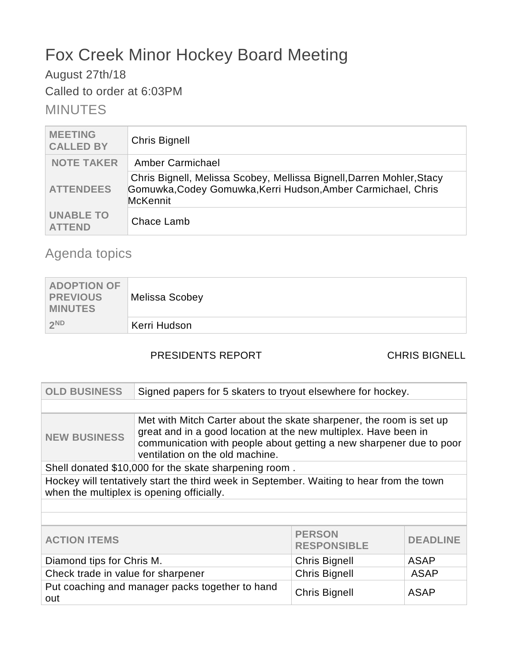# Fox Creek Minor Hockey Board Meeting

# August 27th/18

Called to order at 6:03PM

# MINUTES

| <b>MEETING</b><br><b>CALLED BY</b> | <b>Chris Bignell</b>                                                                                                                               |
|------------------------------------|----------------------------------------------------------------------------------------------------------------------------------------------------|
| <b>NOTE TAKER</b>                  | Amber Carmichael                                                                                                                                   |
| <b>ATTENDEES</b>                   | Chris Bignell, Melissa Scobey, Mellissa Bignell, Darren Mohler, Stacy<br>Gomuwka, Codey Gomuwka, Kerri Hudson, Amber Carmichael, Chris<br>McKennit |
| <b>UNABLE TO</b><br><b>ATTEND</b>  | Chace Lamb                                                                                                                                         |

# Agenda topics

| <b>ADOPTION OF</b><br>PREVIOUS<br><b>MINUTES</b> | Melissa Scobey |
|--------------------------------------------------|----------------|
| 2ND                                              | Kerri Hudson   |

# PRESIDENTS REPORT CHRIS BIGNELL

| <b>OLD BUSINESS</b>                                                                                                                   | Signed papers for 5 skaters to tryout elsewhere for hockey.                                                                                                                                                                                      |                      |             |
|---------------------------------------------------------------------------------------------------------------------------------------|--------------------------------------------------------------------------------------------------------------------------------------------------------------------------------------------------------------------------------------------------|----------------------|-------------|
|                                                                                                                                       |                                                                                                                                                                                                                                                  |                      |             |
| <b>NEW BUSINESS</b>                                                                                                                   | Met with Mitch Carter about the skate sharpener, the room is set up<br>great and in a good location at the new multiplex. Have been in<br>communication with people about getting a new sharpener due to poor<br>ventilation on the old machine. |                      |             |
|                                                                                                                                       | Shell donated \$10,000 for the skate sharpening room.                                                                                                                                                                                            |                      |             |
| Hockey will tentatively start the third week in September. Waiting to hear from the town<br>when the multiplex is opening officially. |                                                                                                                                                                                                                                                  |                      |             |
|                                                                                                                                       |                                                                                                                                                                                                                                                  |                      |             |
|                                                                                                                                       |                                                                                                                                                                                                                                                  |                      |             |
| <b>PERSON</b><br><b>ACTION ITEMS</b><br><b>RESPONSIBLE</b>                                                                            |                                                                                                                                                                                                                                                  | <b>DEADLINE</b>      |             |
| Diamond tips for Chris M.<br><b>Chris Bignell</b><br><b>ASAP</b>                                                                      |                                                                                                                                                                                                                                                  |                      |             |
| Check trade in value for sharpener                                                                                                    |                                                                                                                                                                                                                                                  | <b>Chris Bignell</b> | <b>ASAP</b> |
| Put coaching and manager packs together to hand<br>out                                                                                |                                                                                                                                                                                                                                                  | <b>Chris Bignell</b> | <b>ASAP</b> |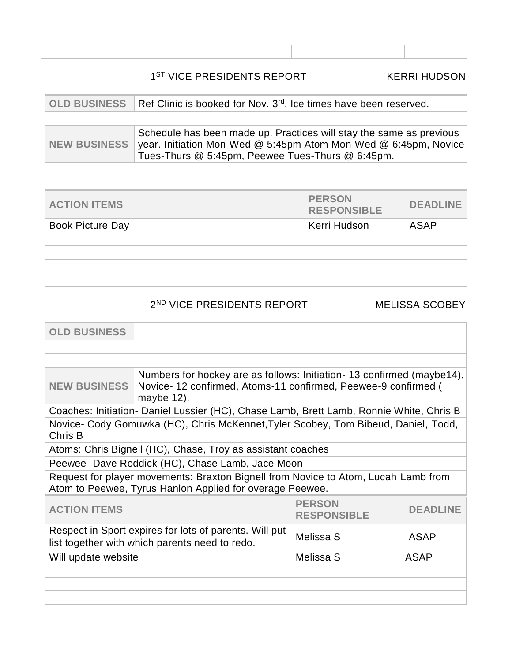### 1<sup>ST</sup> VICE PRESIDENTS REPORT KERRI HUDSON

| <b>OLD BUSINESS</b>     | Ref Clinic is booked for Nov. 3 <sup>rd</sup> , Ice times have been reserved.                                                                                                              |                                     |                 |
|-------------------------|--------------------------------------------------------------------------------------------------------------------------------------------------------------------------------------------|-------------------------------------|-----------------|
|                         |                                                                                                                                                                                            |                                     |                 |
| <b>NEW BUSINESS</b>     | Schedule has been made up. Practices will stay the same as previous<br>year. Initiation Mon-Wed @ 5:45pm Atom Mon-Wed @ 6:45pm, Novice<br>Tues-Thurs @ 5:45pm, Peewee Tues-Thurs @ 6:45pm. |                                     |                 |
|                         |                                                                                                                                                                                            |                                     |                 |
|                         |                                                                                                                                                                                            |                                     |                 |
| <b>ACTION ITEMS</b>     |                                                                                                                                                                                            | <b>PERSON</b><br><b>RESPONSIBLE</b> | <b>DEADLINE</b> |
| <b>Book Picture Day</b> |                                                                                                                                                                                            | Kerri Hudson                        | <b>ASAP</b>     |
|                         |                                                                                                                                                                                            |                                     |                 |
|                         |                                                                                                                                                                                            |                                     |                 |
|                         |                                                                                                                                                                                            |                                     |                 |
|                         |                                                                                                                                                                                            |                                     |                 |

2 ND VICE PRESIDENTS REPORT MELISSA SCOBEY

| <b>OLD BUSINESS</b>                                                                                                                            |                                                                                                                                                        |                 |  |
|------------------------------------------------------------------------------------------------------------------------------------------------|--------------------------------------------------------------------------------------------------------------------------------------------------------|-----------------|--|
|                                                                                                                                                |                                                                                                                                                        |                 |  |
|                                                                                                                                                |                                                                                                                                                        |                 |  |
| <b>NEW BUSINESS</b>                                                                                                                            | Numbers for hockey are as follows: Initiation - 13 confirmed (maybe14),<br>Novice-12 confirmed, Atoms-11 confirmed, Peewee-9 confirmed (<br>maybe 12). |                 |  |
|                                                                                                                                                | Coaches: Initiation- Daniel Lussier (HC), Chase Lamb, Brett Lamb, Ronnie White, Chris B                                                                |                 |  |
| Novice- Cody Gomuwka (HC), Chris McKennet, Tyler Scobey, Tom Bibeud, Daniel, Todd,<br>Chris B                                                  |                                                                                                                                                        |                 |  |
|                                                                                                                                                | Atoms: Chris Bignell (HC), Chase, Troy as assistant coaches                                                                                            |                 |  |
| Peewee- Dave Roddick (HC), Chase Lamb, Jace Moon                                                                                               |                                                                                                                                                        |                 |  |
| Request for player movements: Braxton Bignell from Novice to Atom, Lucah Lamb from<br>Atom to Peewee, Tyrus Hanlon Applied for overage Peewee. |                                                                                                                                                        |                 |  |
| <b>PERSON</b><br><b>ACTION ITEMS</b><br><b>RESPONSIBLE</b>                                                                                     |                                                                                                                                                        | <b>DEADLINE</b> |  |
| Respect in Sport expires for lots of parents. Will put<br>Melissa S<br><b>ASAP</b><br>list together with which parents need to redo.           |                                                                                                                                                        |                 |  |
| Melissa S<br>Will update website<br>ASAP                                                                                                       |                                                                                                                                                        |                 |  |
|                                                                                                                                                |                                                                                                                                                        |                 |  |
|                                                                                                                                                |                                                                                                                                                        |                 |  |
|                                                                                                                                                |                                                                                                                                                        |                 |  |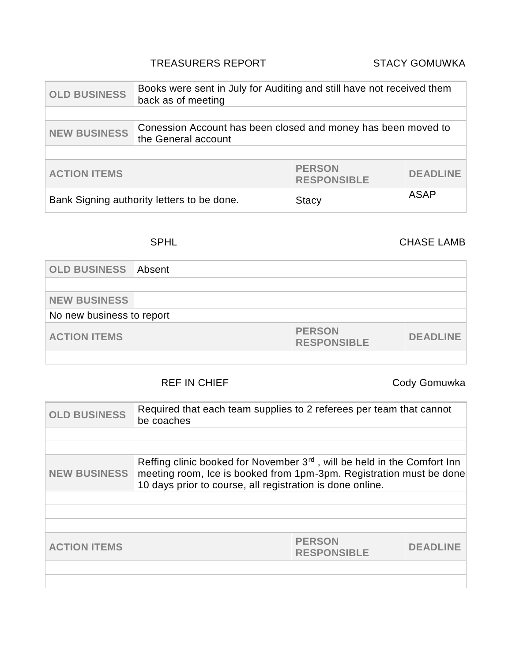### TREASURERS REPORT STACY GOMUWKA

| <b>OLD BUSINESS</b>                                                                                         | Books were sent in July for Auditing and still have not received them<br>back as of meeting |                 |             |
|-------------------------------------------------------------------------------------------------------------|---------------------------------------------------------------------------------------------|-----------------|-------------|
|                                                                                                             |                                                                                             |                 |             |
| Conession Account has been closed and money has been moved to<br><b>NEW BUSINESS</b><br>the General account |                                                                                             |                 |             |
|                                                                                                             |                                                                                             |                 |             |
| <b>PERSON</b><br><b>ACTION ITEMS</b><br><b>RESPONSIBLE</b>                                                  |                                                                                             | <b>DEADLINE</b> |             |
| Bank Signing authority letters to be done.                                                                  |                                                                                             | <b>Stacy</b>    | <b>ASAP</b> |

# SPHL CHASE LAMB

| <b>OLD BUSINESS</b>       | Absent |                                     |                 |
|---------------------------|--------|-------------------------------------|-----------------|
|                           |        |                                     |                 |
| <b>NEW BUSINESS</b>       |        |                                     |                 |
| No new business to report |        |                                     |                 |
| <b>ACTION ITEMS</b>       |        | <b>PERSON</b><br><b>RESPONSIBLE</b> | <b>DEADLINE</b> |
|                           |        |                                     |                 |

## REF IN CHIEF **CODY** Gody Gomuwka

| <b>OLD BUSINESS</b>                                                                                                                                                                                                                             | Required that each team supplies to 2 referees per team that cannot<br>be coaches |                                     |           |
|-------------------------------------------------------------------------------------------------------------------------------------------------------------------------------------------------------------------------------------------------|-----------------------------------------------------------------------------------|-------------------------------------|-----------|
|                                                                                                                                                                                                                                                 |                                                                                   |                                     |           |
|                                                                                                                                                                                                                                                 |                                                                                   |                                     |           |
| Reffing clinic booked for November 3 <sup>rd</sup> , will be held in the Comfort Inn<br><b>NEW BUSINESS</b><br>meeting room, Ice is booked from 1pm-3pm. Registration must be done<br>10 days prior to course, all registration is done online. |                                                                                   |                                     |           |
|                                                                                                                                                                                                                                                 |                                                                                   |                                     |           |
|                                                                                                                                                                                                                                                 |                                                                                   |                                     |           |
|                                                                                                                                                                                                                                                 |                                                                                   |                                     |           |
| <b>ACTION ITEMS</b>                                                                                                                                                                                                                             |                                                                                   | <b>PERSON</b><br><b>RESPONSIBLE</b> | DEADI INE |
|                                                                                                                                                                                                                                                 |                                                                                   |                                     |           |
|                                                                                                                                                                                                                                                 |                                                                                   |                                     |           |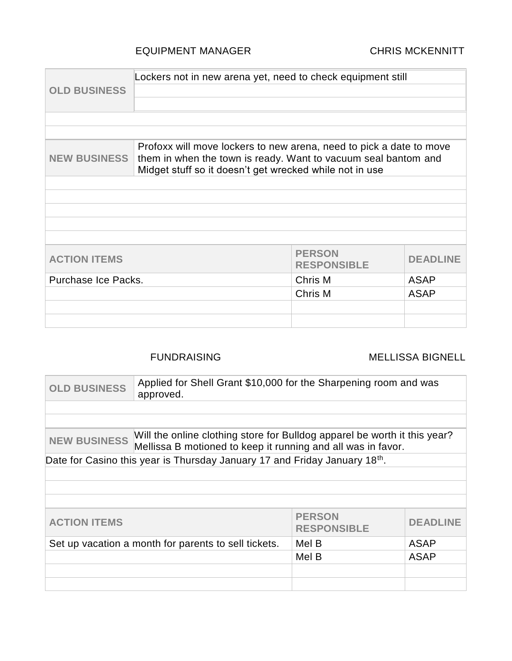### EQUIPMENT MANAGER CHRIS MCKENNITT

|                                               | Lockers not in new arena yet, need to check equipment still                                                                                                                                      |                                     |                 |
|-----------------------------------------------|--------------------------------------------------------------------------------------------------------------------------------------------------------------------------------------------------|-------------------------------------|-----------------|
| <b>OLD BUSINESS</b>                           |                                                                                                                                                                                                  |                                     |                 |
|                                               |                                                                                                                                                                                                  |                                     |                 |
|                                               |                                                                                                                                                                                                  |                                     |                 |
|                                               |                                                                                                                                                                                                  |                                     |                 |
| <b>NEW BUSINESS</b>                           | Profoxx will move lockers to new arena, need to pick a date to move<br>them in when the town is ready. Want to vacuum seal bantom and<br>Midget stuff so it doesn't get wrecked while not in use |                                     |                 |
|                                               |                                                                                                                                                                                                  |                                     |                 |
|                                               |                                                                                                                                                                                                  |                                     |                 |
|                                               |                                                                                                                                                                                                  |                                     |                 |
|                                               |                                                                                                                                                                                                  |                                     |                 |
|                                               |                                                                                                                                                                                                  |                                     |                 |
| <b>ACTION ITEMS</b>                           |                                                                                                                                                                                                  | <b>PERSON</b><br><b>RESPONSIBLE</b> | <b>DEADLINE</b> |
| Purchase Ice Packs.<br>Chris M<br><b>ASAP</b> |                                                                                                                                                                                                  |                                     |                 |
|                                               |                                                                                                                                                                                                  | Chris M                             | <b>ASAP</b>     |
|                                               |                                                                                                                                                                                                  |                                     |                 |
|                                               |                                                                                                                                                                                                  |                                     |                 |

### FUNDRAISING MELLISSA BIGNELL

| <b>OLD BUSINESS</b> | Applied for Shell Grant \$10,000 for the Sharpening room and was<br>approved.                                                             |                                     |                 |
|---------------------|-------------------------------------------------------------------------------------------------------------------------------------------|-------------------------------------|-----------------|
|                     |                                                                                                                                           |                                     |                 |
|                     |                                                                                                                                           |                                     |                 |
| <b>NEW BUSINESS</b> | Will the online clothing store for Bulldog apparel be worth it this year?<br>Mellissa B motioned to keep it running and all was in favor. |                                     |                 |
|                     | Date for Casino this year is Thursday January 17 and Friday January 18th.                                                                 |                                     |                 |
|                     |                                                                                                                                           |                                     |                 |
|                     |                                                                                                                                           |                                     |                 |
|                     |                                                                                                                                           |                                     |                 |
| <b>ACTION ITEMS</b> |                                                                                                                                           | <b>PERSON</b><br><b>RESPONSIBLE</b> | <b>DEADLINE</b> |
|                     | Set up vacation a month for parents to sell tickets.                                                                                      | Mel B                               | <b>ASAP</b>     |
|                     |                                                                                                                                           | Mel B                               | <b>ASAP</b>     |
|                     |                                                                                                                                           |                                     |                 |
|                     |                                                                                                                                           |                                     |                 |
|                     |                                                                                                                                           |                                     |                 |